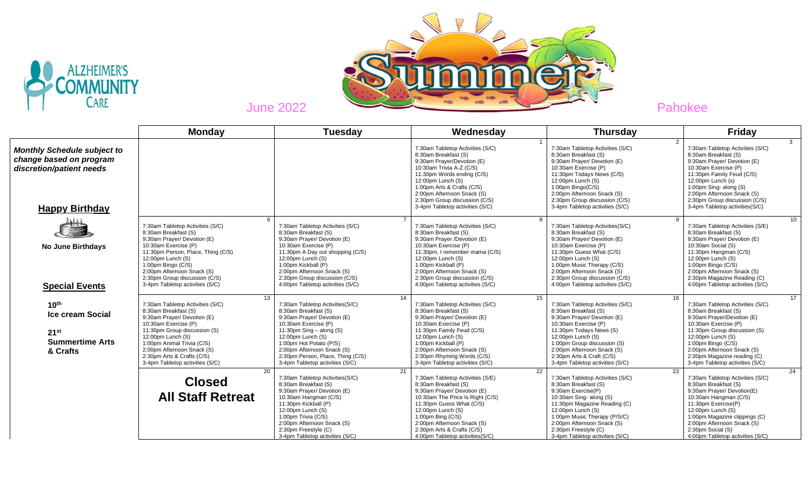



|                                                                                                                     | <b>Monday</b>                                                                                                                                                                                                                                                                                           | <b>Tuesday</b>                                                                                                                                                                                                                                                                                           | Wednesday                                                                                                                                                                                                                                                                                                     | <b>Thursday</b>                                                                                                                                                                                                                                                                                                  | <b>Friday</b>                                                                                                                                                                                                                                                                                                |
|---------------------------------------------------------------------------------------------------------------------|---------------------------------------------------------------------------------------------------------------------------------------------------------------------------------------------------------------------------------------------------------------------------------------------------------|----------------------------------------------------------------------------------------------------------------------------------------------------------------------------------------------------------------------------------------------------------------------------------------------------------|---------------------------------------------------------------------------------------------------------------------------------------------------------------------------------------------------------------------------------------------------------------------------------------------------------------|------------------------------------------------------------------------------------------------------------------------------------------------------------------------------------------------------------------------------------------------------------------------------------------------------------------|--------------------------------------------------------------------------------------------------------------------------------------------------------------------------------------------------------------------------------------------------------------------------------------------------------------|
| <b>Monthly Schedule subject to</b><br>change based on program<br>discretion/patient needs.<br><b>Happy Birthday</b> |                                                                                                                                                                                                                                                                                                         |                                                                                                                                                                                                                                                                                                          | 7:30am Tabletop Activities (S/C)<br>8:30am Breakfast (S)<br>9:30am Prayer/Devotion (E)<br>10:30am Trivia A-Z (C/S)<br>11:30pm Words ending (C/S)<br>12:00pm Lunch (S)<br>1:00pm Arts & Crafts (C/S)<br>2:00pm Afternoon Snack (S)<br>2:30pm Group discussion (C/S)<br>3-4pm Tabletop activities (S/C)         | 7:30am Tabletop Activities (S/C)<br>8:30am Breakfast (S)<br>9:30am Prayer/ Devotion (E)<br>10:30am Exercise (P)<br>11:30pm Todays News (C/S)<br>12:00pm Lunch (S)<br>$1:00$ pm Bingo $(C/S)$<br>2:00pm Afternoon Snack (S)<br>2:30pm Group discussion (C/S)<br>3-4pm Tabletop activities (S/C)                   | 3<br>7:30am Tabletop Activities (S/C)<br>8:30am Breakfast (S)<br>9:30am Prayer/ Devotion (E)<br>10:30am Exercise (P)<br>11:30pm Family Feud (C/S)<br>$12:00$ pm Lunch (s)<br>1:00pm Sing- along (S)<br>2:00pm Afternoon Snack (S)<br>2:30pm Group discussion (C/S)<br>3-4pm Tabletop activities(S/C)         |
| <b>No June Birthdays</b><br><b>Special Events</b>                                                                   | 6<br>7:30am Tabletop Activities (S/C)<br>8:30am Breakfast (S)<br>9:30am Prayer/ Devotion (E)<br>10:30am Exercise (P)<br>11:30pm Person, Place, Thing (C/S)<br>12:00pm Lunch (S)<br>1:00pm Bingo (C/S)<br>2:00pm Afternoon Snack (S)<br>2:30pm Group discussion (C/S)<br>3-4pm Tabletop activities (S/C) | 7:30am Tabletop Activities (S/C)<br>8:30am Breakfast (S)<br>9:30am Prayer/ Devotion (E)<br>10:30am Exercise (P)<br>11:30pm A Day out shopping (C/S)<br>12:00pm Lunch (S)<br>1:00pm Kickball (P)<br>2:00pm Afternoon Snack (S)<br>2:30pm Group discussion (C/S)<br>4:00pm Tabletop activities (S/C)       | 8<br>7:30am Tabletop Activities (S/C)<br>8:30am Breakfast (S)<br>9:30am Prayer /Devotion (E)<br>10:30am Exercise (P)<br>11:30pm, I remember mama (C/S)<br>$12:00$ pm Lunch $(S)$<br>1:00pm Kickball (P)<br>2:00pm Afternoon Snack (S)<br>2:30pm Group discussion (C/S)<br>4:00pm Tabletop activities (S/C)    | $\mathbf{Q}$<br>7:30am Tabletop Activities(S/C)<br>8:30am Breakfast (S)<br>9:30am Prayer/ Devotion (E)<br>10:30am Exercise (P)<br>11:30pm Guess What (C/S)<br>12:00pm Lunch (S)<br>1:00pm Music Therapy (C/S)<br>2:00pm Afternoon Snack (S)<br>2:30pm Group discussion (C/S)<br>4:00pm Tabletop activities (S/C) | 10<br>7:30am Tabletop Activities (S/E)<br>8:30am Breakfast (S)<br>9:30am Prayer/ Devotion (E)<br>10:30am Social (S)<br>11:30pm Hangman (C/S)<br>12:00pm Lunch (S)<br>1:00pm Bingo (C/S)<br>2:00pm Afternoon Snack (S)<br>2:30pm Magazine Reading (C)<br>4:00pm Tabletop activities (S/C)                     |
| 10 <sup>th</sup><br><b>Ice cream Social</b><br>21 <sup>st</sup><br><b>Summertime Arts</b><br>& Crafts               | 13<br>7:30am Tabletop Activities (S/C)<br>8:30am Breakfast (S)<br>9:30am Prayer/ Devotion (E)<br>10:30am Exercise (P)<br>11:30pm Group discussion (S)<br>12:00pm Lunch (S)<br>1:00pm Animal Trivia (C/S)<br>2:00pm Afternoon Snack (S)<br>2:30pm Arts & Crafts (C/S)<br>3-4pm Tabletop activities (S/C) | 14<br>7:30am Tabletop Activities(S/C)<br>8:30am Breakfast (S)<br>9:30am Prayer/ Devotion (E)<br>10:30am Exercise (P)<br>11:30pm $Sing - along (S)$<br>12:00pm Lunch (S)<br>1:00pm Hot Potato (P/S)<br>2:00pm Afternoon Snack (S)<br>2:30pm Person, Place, Thing (C/S)<br>3-4pm Tabletop activities (S/C) | 15<br>7:30am Tabletop Activities (S/C)<br>8:30am Breakfast (S)<br>9:30am Prayer/ Devotion (E)<br>10:30am Exercise (P)<br>11:30pm Family Feud (C/S)<br>12:00pm Lunch (S)<br>1:00pm Kickball (P)<br>2:00pm Afternoon Snack (S)<br>2:30pm Rhyming Words (C/S)<br>3-4pm Tabletop activities (S/C)                 | 16<br>7:30am Tabletop Activities (S/C)<br>8:30am Breakfast (S)<br>9:30am Prayer/ Devotion (E)<br>10:30am Exercise (P)<br>11:30pm Todays News (S)<br>12:00pm Lunch (S)<br>1:00pm Group discussion (S)<br>2:00pm Afternoon Snack (S)<br>2:30pm Arts & Craft (C/S)<br>3-4pm Tabletop activities (S/C)               | $\overline{17}$<br>7:30am Tabletop Activities (S/C)<br>8:30am Breakfast (S)<br>9:30am Prayer/Devotion (E)<br>10:30am Exercise (P)<br>11:30pm Group discussion (S)<br>12:00pm Lunch (S)<br>1:00pm Bingo (C/S)<br>2:00pm Afternoon Snack (S)<br>2:30pm Magazine reading (C)<br>3-4pm Tabletop activities (S/C) |
|                                                                                                                     | 20<br><b>Closed</b><br><b>All Staff Retreat</b>                                                                                                                                                                                                                                                         | 21<br>7:30am Tabletop Activities(S/C)<br>8:30am Breakfast (S)<br>9:30am Prayer/ Devotion (E)<br>10:30am Hangman (C/S)<br>11:30pm Kickball (P)<br>12:00pm Lunch (S)<br>1:00pm Trivia (C/S)<br>2:00pm Afternoon Snack (S)<br>2:30pm Freestyle (C)<br>3-4pm Tabletop activities (S/C)                       | 22<br>7:30am Tabletop Activities (S/E)<br>8:30am Breakfast (S)<br>9:30am Prayer/ Devotion (E)<br>10:30am The Price Is Right (C/S)<br>11:30pm Guess What (C/S)<br>$12:00$ pm Lunch $(S)$<br>1:00pm Bing $(C/S)$<br>2:00pm Afternoon Snack (S)<br>2:30pm Arts & Crafts (C/S)<br>4:00pm Tabletop activities(S/C) | 23<br>7:30am Tabletop Activities (S/C)<br>8:30am Breakfast (S)<br>9:30am Exercise(P)<br>10:30am Sing- along (S)<br>11:30pm Magazine Reading (C)<br>12:00pm Lunch (S)<br>1:00pm Music Therapy (P/S/C)<br>2:00pm Afternoon Snack (S)<br>2:30pm Freestyle (C)<br>3-4pm Tabletop activities (S/C)                    | $\overline{24}$<br>7:30am Tabletop Activities (S/C)<br>8:30am Breakfast (S)<br>9:30am Prayer/ Devotion(E)<br>10:30am Hangman (C/S)<br>11:30pm Exercise(P)<br>12:00pm Lunch (S)<br>1:00pm Magazine clippings (C)<br>2:00pm Afternoon Snack (S)<br>2:30pm Social (S)<br>4:00pm Tabletop activities (S/C)       |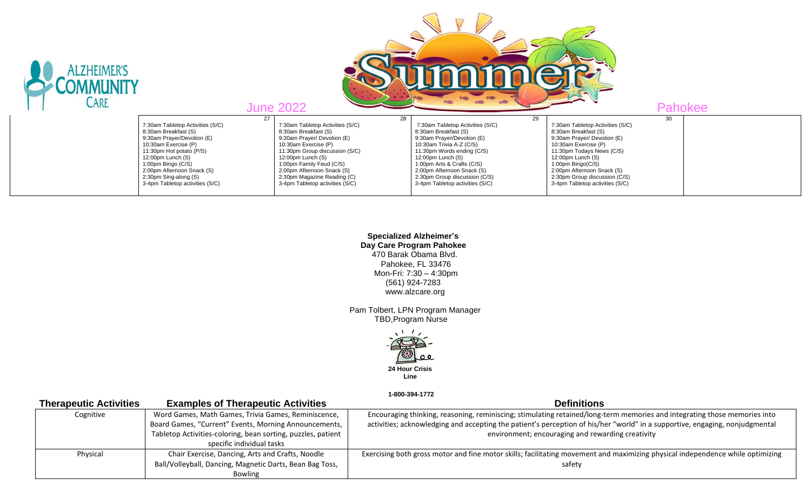| <b>ALZHEIMER'S</b><br><b>CARE</b> |                                                                                                                                                                 | <b>mama</b><br><b>June 2022</b><br><b>Pahokee</b>                                                                                                                                  |                                                                                                                                                                             |                                                                                                                                                                   |    |  |
|-----------------------------------|-----------------------------------------------------------------------------------------------------------------------------------------------------------------|------------------------------------------------------------------------------------------------------------------------------------------------------------------------------------|-----------------------------------------------------------------------------------------------------------------------------------------------------------------------------|-------------------------------------------------------------------------------------------------------------------------------------------------------------------|----|--|
|                                   | 7:30am Tabletop Activities (S/C)<br>8:30am Breakfast (S)<br>9:30am Prayer/Devotion (E)<br>10:30am Exercise (P)<br>11:30pm Hot potato (P/S)<br>12:00pm Lunch (S) | 28<br>27<br>7:30am Tabletop Activities (S/C)<br>8:30am Breakfast (S)<br>9:30am Prayer/ Devotion (E)<br>10:30am Exercise (P)<br>11:30pm Group discussion (S/C)<br>12:00pm Lunch (S) | 29<br>7:30am Tabletop Activities (S/C)<br>8:30am Breakfast (S)<br>9:30am Prayer/Devotion (E)<br>10:30am Trivia A-Z (C/S)<br>11:30pm Words ending (C/S)<br>12:00pm Lunch (S) | 7:30am Tabletop Activities (S/C)<br>8:30am Breakfast (S)<br>9:30am Prayer/ Devotion (E)<br>10:30am Exercise (P)<br>11:30pm Todays News (C/S)<br>12:00pm Lunch (S) | 30 |  |
|                                   | 1:00pm Bingo (C/S)<br>2:00pm Afternoon Snack (S)<br>2:30pm Sing-along (S)<br>3-4pm Tabletop activities (S/C)                                                    | 1:00pm Family Feud (C/S)<br>2:00pm Afternoon Snack (S)<br>2:30pm Magazine Reading (C)<br>3-4pm Tabletop activities (S/C)                                                           | 1:00pm Arts & Crafts (C/S)<br>2:00pm Afternoon Snack (S)<br>2:30pm Group discussion (C/S)<br>3-4pm Tabletop activities (S/C)                                                | 1:00pm Bingo(C/S)<br>2:00pm Afternoon Snack (S)<br>2:30pm Group discussion (C/S)<br>3-4pm Tabletop activities (S/C)                                               |    |  |

 **Specialized Alzheimer's Day Care Program Pahokee** 470 Barak Obama Blvd. Pahokee, FL 33476 Mon-Fri: 7:30 – 4:30pm (561) 924-7283 www.alzcare.org

 Pam Tolbert, LPN Program Manager TBD,Program Nurse



 **1-800-394-1772** 

| <b>Therapeutic Activities</b>                                    | <b>Examples of Therapeutic Activities</b>                    | <b>Definitions</b>                                                                                                             |  |
|------------------------------------------------------------------|--------------------------------------------------------------|--------------------------------------------------------------------------------------------------------------------------------|--|
| Word Games, Math Games, Trivia Games, Reminiscence,<br>Cognitive |                                                              | Encouraging thinking, reasoning, reminiscing; stimulating retained/long-term memories and integrating those memories into      |  |
|                                                                  | Board Games, "Current" Events, Morning Announcements,        | activities; acknowledging and accepting the patient's perception of his/her "world" in a supportive, engaging, nonjudgmental   |  |
|                                                                  | Tabletop Activities-coloring, bean sorting, puzzles, patient | environment; encouraging and rewarding creativity                                                                              |  |
|                                                                  | specific individual tasks                                    |                                                                                                                                |  |
| Physical                                                         | Chair Exercise, Dancing, Arts and Crafts, Noodle             | Exercising both gross motor and fine motor skills; facilitating movement and maximizing physical independence while optimizing |  |
|                                                                  | Ball/Volleyball, Dancing, Magnetic Darts, Bean Bag Toss,     | safety                                                                                                                         |  |
|                                                                  | Bowling                                                      |                                                                                                                                |  |
|                                                                  |                                                              |                                                                                                                                |  |